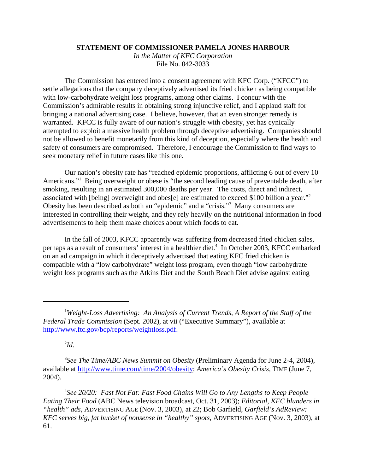## **STATEMENT OF COMMISSIONER PAMELA JONES HARBOUR**

*In the Matter of KFC Corporation* File No. 042-3033

The Commission has entered into a consent agreement with KFC Corp. ("KFCC") to settle allegations that the company deceptively advertised its fried chicken as being compatible with low-carbohydrate weight loss programs, among other claims. I concur with the Commission's admirable results in obtaining strong injunctive relief, and I applaud staff for bringing a national advertising case. I believe, however, that an even stronger remedy is warranted. KFCC is fully aware of our nation's struggle with obesity, yet has cynically attempted to exploit a massive health problem through deceptive advertising. Companies should not be allowed to benefit monetarily from this kind of deception, especially where the health and safety of consumers are compromised. Therefore, I encourage the Commission to find ways to seek monetary relief in future cases like this one.

Our nation's obesity rate has "reached epidemic proportions, afflicting 6 out of every 10 Americans."<sup>1</sup> Being overweight or obese is "the second leading cause of preventable death, after smoking, resulting in an estimated 300,000 deaths per year. The costs, direct and indirect, associated with [being] overweight and obes[e] are estimated to exceed \$100 billion a year."2 Obesity has been described as both an "epidemic" and a "crisis."3 Many consumers are interested in controlling their weight, and they rely heavily on the nutritional information in food advertisements to help them make choices about which foods to eat.

In the fall of 2003, KFCC apparently was suffering from decreased fried chicken sales, perhaps as a result of consumers' interest in a healthier diet.<sup>4</sup> In October 2003, KFCC embarked on an ad campaign in which it deceptively advertised that eating KFC fried chicken is compatible with a "low carbohydrate" weight loss program, even though "low carbohydrate weight loss programs such as the Atkins Diet and the South Beach Diet advise against eating

2 *Id.*

3 *See The Time/ABC News Summit on Obesity* (Preliminary Agenda for June 2-4, 2004), available at http://www.time.com/time/2004/obesity; *America's Obesity Crisis,* TIME (June 7, 2004).

4 *See 20/20: Fast Not Fat: Fast Food Chains Will Go to Any Lengths to Keep People Eating Their Food* (ABC News television broadcast, Oct. 31, 2003); *Editorial, KFC blunders in "health" ads,* ADVERTISING AGE (Nov. 3, 2003), at 22; Bob Garfield, *Garfield's AdReview: KFC serves big, fat bucket of nonsense in "healthy" spots,* ADVERTISING AGE (Nov. 3, 2003), at 61.

<sup>&</sup>lt;sup>1</sup>Weight-Loss Advertising: An Analysis of Current Trends, A Report of the Staff of the *Federal Trade Commission* (Sept. 2002), at vii ("Executive Summary"), available at http://www.ftc.gov/bcp/reports/weightloss.pdf.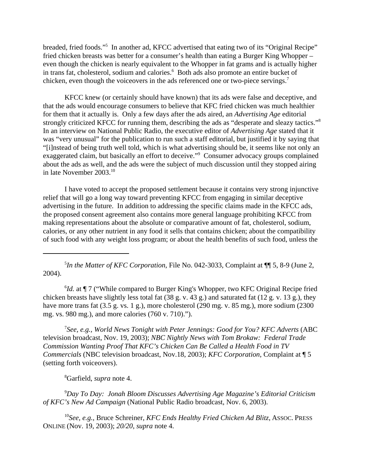breaded, fried foods."<sup>5</sup> In another ad, KFCC advertised that eating two of its "Original Recipe" fried chicken breasts was better for a consumer's health than eating a Burger King Whopper – even though the chicken is nearly equivalent to the Whopper in fat grams and is actually higher in trans fat, cholesterol, sodium and calories.<sup>6</sup> Both ads also promote an entire bucket of chicken, even though the voiceovers in the ads referenced one or two-piece servings.<sup>7</sup>

KFCC knew (or certainly should have known) that its ads were false and deceptive, and that the ads would encourage consumers to believe that KFC fried chicken was much healthier for them that it actually is. Only a few days after the ads aired, an *Advertising Age* editorial strongly criticized KFCC for running them, describing the ads as "desperate and sleazy tactics."8 In an interview on National Public Radio, the executive editor of *Advertising Age* stated that it was "very unusual" for the publication to run such a staff editorial, but justified it by saying that "[i]nstead of being truth well told, which is what advertising should be, it seems like not only an exaggerated claim, but basically an effort to deceive."<sup>9</sup> Consumer advocacy groups complained about the ads as well, and the ads were the subject of much discussion until they stopped airing in late November 2003.<sup>10</sup>

I have voted to accept the proposed settlement because it contains very strong injunctive relief that will go a long way toward preventing KFCC from engaging in similar deceptive advertising in the future. In addition to addressing the specific claims made in the KFCC ads, the proposed consent agreement also contains more general language prohibiting KFCC from making representations about the absolute or comparative amount of fat, cholesterol, sodium, calories, or any other nutrient in any food it sells that contains chicken; about the compatibility of such food with any weight loss program; or about the health benefits of such food, unless the

5 *In the Matter of KFC Corporation*, File No. 042-3033, Complaint at ¶¶ 5, 8-9 (June 2, 2004).

<sup>6</sup>Id. at ¶ 7 ("While compared to Burger King's Whopper, two KFC Original Recipe fried chicken breasts have slightly less total fat (38 g. v. 43 g.) and saturated fat (12 g. v. 13 g.), they have more trans fat (3.5 g. vs. 1 g.), more cholesterol (290 mg. v. 85 mg.), more sodium (2300 mg. vs. 980 mg.), and more calories (760 v. 710).").

7 *See, e.g., World News Tonight with Peter Jennings: Good for You? KFC Adverts* (ABC television broadcast, Nov. 19, 2003); *NBC Nightly News with Tom Brokaw: Federal Trade Commission Wanting Proof That KFC's Chicken Can Be Called a Health Food in TV Commercials* (NBC television broadcast, Nov.18, 2003); *KFC Corporation*, Complaint at ¶ 5 (setting forth voiceovers).

8 Garfield, *supra* note 4.

9 *Day To Day: Jonah Bloom Discusses Advertising Age Magazine's Editorial Criticism of KFC's New Ad Campaign* (National Public Radio broadcast, Nov. 6, 2003).

<sup>10</sup>*See, e.g.,* Bruce Schreiner, *KFC Ends Healthy Fried Chicken Ad Blitz*, ASSOC. PRESS ONLINE (Nov. 19, 2003); *20/20*, *supra* note 4.